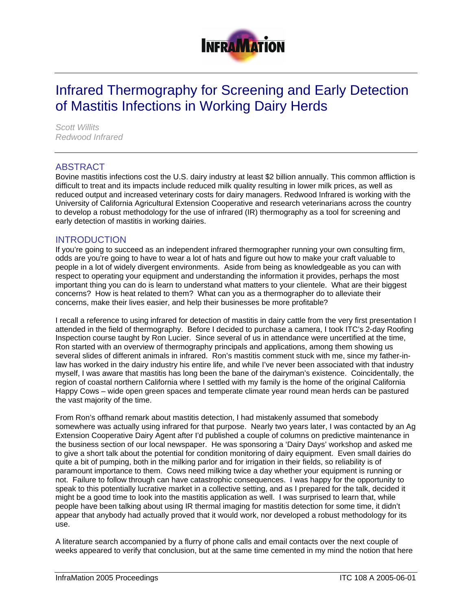

# Infrared Thermography for Screening and Early Detection of Mastitis Infections in Working Dairy Herds

*Scott Willits Redwood Infrared* 

## ABSTRACT

Bovine mastitis infections cost the U.S. dairy industry at least \$2 billion annually. This common affliction is difficult to treat and its impacts include reduced milk quality resulting in lower milk prices, as well as reduced output and increased veterinary costs for dairy managers. Redwood Infrared is working with the University of California Agricultural Extension Cooperative and research veterinarians across the country to develop a robust methodology for the use of infrared (IR) thermography as a tool for screening and early detection of mastitis in working dairies.

## **INTRODUCTION**

If you're going to succeed as an independent infrared thermographer running your own consulting firm, odds are you're going to have to wear a lot of hats and figure out how to make your craft valuable to people in a lot of widely divergent environments. Aside from being as knowledgeable as you can with respect to operating your equipment and understanding the information it provides, perhaps the most important thing you can do is learn to understand what matters to your clientele. What are their biggest concerns? How is heat related to them? What can you as a thermographer do to alleviate their concerns, make their lives easier, and help their businesses be more profitable?

I recall a reference to using infrared for detection of mastitis in dairy cattle from the very first presentation I attended in the field of thermography. Before I decided to purchase a camera, I took ITC's 2-day Roofing Inspection course taught by Ron Lucier. Since several of us in attendance were uncertified at the time, Ron started with an overview of thermography principals and applications, among them showing us several slides of different animals in infrared. Ron's mastitis comment stuck with me, since my father-inlaw has worked in the dairy industry his entire life, and while I've never been associated with that industry myself, I was aware that mastitis has long been the bane of the dairyman's existence. Coincidentally, the region of coastal northern California where I settled with my family is the home of the original California Happy Cows – wide open green spaces and temperate climate year round mean herds can be pastured the vast majority of the time.

From Ron's offhand remark about mastitis detection, I had mistakenly assumed that somebody somewhere was actually using infrared for that purpose. Nearly two years later, I was contacted by an Ag Extension Cooperative Dairy Agent after I'd published a couple of columns on predictive maintenance in the business section of our local newspaper. He was sponsoring a 'Dairy Days' workshop and asked me to give a short talk about the potential for condition monitoring of dairy equipment. Even small dairies do quite a bit of pumping, both in the milking parlor and for irrigation in their fields, so reliability is of paramount importance to them. Cows need milking twice a day whether your equipment is running or not. Failure to follow through can have catastrophic consequences. I was happy for the opportunity to speak to this potentially lucrative market in a collective setting, and as I prepared for the talk, decided it might be a good time to look into the mastitis application as well. I was surprised to learn that, while people have been talking about using IR thermal imaging for mastitis detection for some time, it didn't appear that anybody had actually proved that it would work, nor developed a robust methodology for its use.

A literature search accompanied by a flurry of phone calls and email contacts over the next couple of weeks appeared to verify that conclusion, but at the same time cemented in my mind the notion that here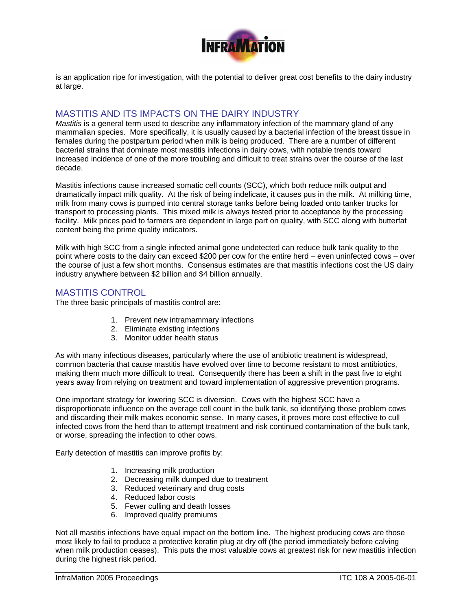

is an application ripe for investigation, with the potential to deliver great cost benefits to the dairy industry at large.

## MASTITIS AND ITS IMPACTS ON THE DAIRY INDUSTRY

*Mastitis* is a general term used to describe any inflammatory infection of the mammary gland of any mammalian species. More specifically, it is usually caused by a bacterial infection of the breast tissue in females during the postpartum period when milk is being produced. There are a number of different bacterial strains that dominate most mastitis infections in dairy cows, with notable trends toward increased incidence of one of the more troubling and difficult to treat strains over the course of the last decade.

Mastitis infections cause increased somatic cell counts (SCC), which both reduce milk output and dramatically impact milk quality. At the risk of being indelicate, it causes pus in the milk. At milking time, milk from many cows is pumped into central storage tanks before being loaded onto tanker trucks for transport to processing plants. This mixed milk is always tested prior to acceptance by the processing facility. Milk prices paid to farmers are dependent in large part on quality, with SCC along with butterfat content being the prime quality indicators.

Milk with high SCC from a single infected animal gone undetected can reduce bulk tank quality to the point where costs to the dairy can exceed \$200 per cow for the entire herd – even uninfected cows – over the course of just a few short months. Consensus estimates are that mastitis infections cost the US dairy industry anywhere between \$2 billion and \$4 billion annually.

## MASTITIS CONTROL

The three basic principals of mastitis control are:

- 1. Prevent new intramammary infections
- 2. Eliminate existing infections
- 3. Monitor udder health status

As with many infectious diseases, particularly where the use of antibiotic treatment is widespread, common bacteria that cause mastitis have evolved over time to become resistant to most antibiotics, making them much more difficult to treat. Consequently there has been a shift in the past five to eight years away from relying on treatment and toward implementation of aggressive prevention programs.

One important strategy for lowering SCC is diversion. Cows with the highest SCC have a disproportionate influence on the average cell count in the bulk tank, so identifying those problem cows and discarding their milk makes economic sense. In many cases, it proves more cost effective to cull infected cows from the herd than to attempt treatment and risk continued contamination of the bulk tank, or worse, spreading the infection to other cows.

Early detection of mastitis can improve profits by:

- 1. Increasing milk production
- 2. Decreasing milk dumped due to treatment
- 3. Reduced veterinary and drug costs
- 4. Reduced labor costs
- 5. Fewer culling and death losses
- 6. Improved quality premiums

Not all mastitis infections have equal impact on the bottom line. The highest producing cows are those most likely to fail to produce a protective keratin plug at dry off (the period immediately before calving when milk production ceases). This puts the most valuable cows at greatest risk for new mastitis infection during the highest risk period.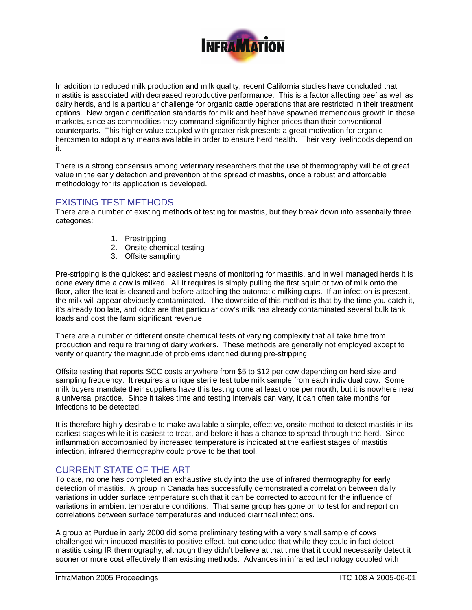

In addition to reduced milk production and milk quality, recent California studies have concluded that mastitis is associated with decreased reproductive performance. This is a factor affecting beef as well as dairy herds, and is a particular challenge for organic cattle operations that are restricted in their treatment options. New organic certification standards for milk and beef have spawned tremendous growth in those markets, since as commodities they command significantly higher prices than their conventional counterparts. This higher value coupled with greater risk presents a great motivation for organic herdsmen to adopt any means available in order to ensure herd health. Their very livelihoods depend on it.

There is a strong consensus among veterinary researchers that the use of thermography will be of great value in the early detection and prevention of the spread of mastitis, once a robust and affordable methodology for its application is developed.

## EXISTING TEST METHODS

There are a number of existing methods of testing for mastitis, but they break down into essentially three categories:

- 1. Prestripping
- 2. Onsite chemical testing
- 3. Offsite sampling

Pre-stripping is the quickest and easiest means of monitoring for mastitis, and in well managed herds it is done every time a cow is milked. All it requires is simply pulling the first squirt or two of milk onto the floor, after the teat is cleaned and before attaching the automatic milking cups. If an infection is present, the milk will appear obviously contaminated. The downside of this method is that by the time you catch it, it's already too late, and odds are that particular cow's milk has already contaminated several bulk tank loads and cost the farm significant revenue.

There are a number of different onsite chemical tests of varying complexity that all take time from production and require training of dairy workers. These methods are generally not employed except to verify or quantify the magnitude of problems identified during pre-stripping.

Offsite testing that reports SCC costs anywhere from \$5 to \$12 per cow depending on herd size and sampling frequency. It requires a unique sterile test tube milk sample from each individual cow. Some milk buyers mandate their suppliers have this testing done at least once per month, but it is nowhere near a universal practice. Since it takes time and testing intervals can vary, it can often take months for infections to be detected.

It is therefore highly desirable to make available a simple, effective, onsite method to detect mastitis in its earliest stages while it is easiest to treat, and before it has a chance to spread through the herd. Since inflammation accompanied by increased temperature is indicated at the earliest stages of mastitis infection, infrared thermography could prove to be that tool.

## CURRENT STATE OF THE ART

To date, no one has completed an exhaustive study into the use of infrared thermography for early detection of mastitis. A group in Canada has successfully demonstrated a correlation between daily variations in udder surface temperature such that it can be corrected to account for the influence of variations in ambient temperature conditions. That same group has gone on to test for and report on correlations between surface temperatures and induced diarrheal infections.

A group at Purdue in early 2000 did some preliminary testing with a very small sample of cows challenged with induced mastitis to positive effect, but concluded that while they could in fact detect mastitis using IR thermography, although they didn't believe at that time that it could necessarily detect it sooner or more cost effectively than existing methods. Advances in infrared technology coupled with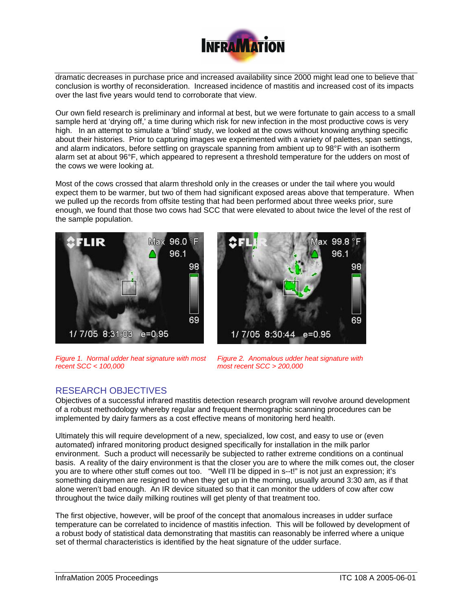

dramatic decreases in purchase price and increased availability since 2000 might lead one to believe that conclusion is worthy of reconsideration. Increased incidence of mastitis and increased cost of its impacts over the last five years would tend to corroborate that view.

Our own field research is preliminary and informal at best, but we were fortunate to gain access to a small sample herd at 'drying off,' a time during which risk for new infection in the most productive cows is very high. In an attempt to simulate a 'blind' study, we looked at the cows without knowing anything specific about their histories. Prior to capturing images we experimented with a variety of palettes, span settings, and alarm indicators, before settling on grayscale spanning from ambient up to 98°F with an isotherm alarm set at about 96°F, which appeared to represent a threshold temperature for the udders on most of the cows we were looking at.

Most of the cows crossed that alarm threshold only in the creases or under the tail where you would expect them to be warmer, but two of them had significant exposed areas above that temperature. When we pulled up the records from offsite testing that had been performed about three weeks prior, sure enough, we found that those two cows had SCC that were elevated to about twice the level of the rest of the sample population.





*Figure 1. Normal udder heat signature with most recent SCC < 100,000*

*Figure 2. Anomalous udder heat signature with most recent SCC > 200,000*

# RESEARCH OBJECTIVES

Objectives of a successful infrared mastitis detection research program will revolve around development of a robust methodology whereby regular and frequent thermographic scanning procedures can be implemented by dairy farmers as a cost effective means of monitoring herd health.

Ultimately this will require development of a new, specialized, low cost, and easy to use or (even automated) infrared monitoring product designed specifically for installation in the milk parlor environment. Such a product will necessarily be subjected to rather extreme conditions on a continual basis. A reality of the dairy environment is that the closer you are to where the milk comes out, the closer you are to where other stuff comes out too. "Well I'll be dipped in s--t!" is not just an expression; it's something dairymen are resigned to when they get up in the morning, usually around 3:30 am, as if that alone weren't bad enough. An IR device situated so that it can monitor the udders of cow after cow throughout the twice daily milking routines will get plenty of that treatment too.

The first objective, however, will be proof of the concept that anomalous increases in udder surface temperature can be correlated to incidence of mastitis infection. This will be followed by development of a robust body of statistical data demonstrating that mastitis can reasonably be inferred where a unique set of thermal characteristics is identified by the heat signature of the udder surface.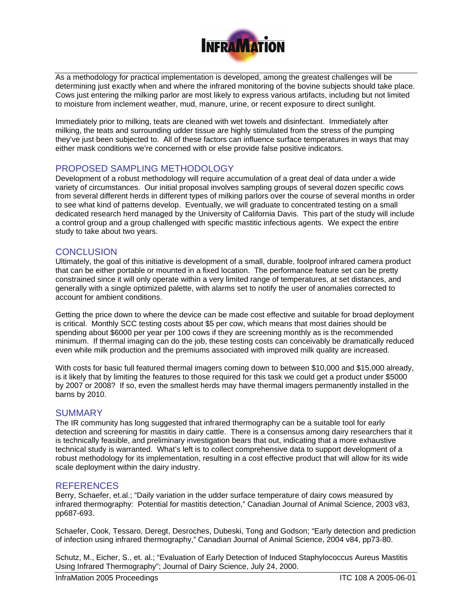

As a methodology for practical implementation is developed, among the greatest challenges will be determining just exactly when and where the infrared monitoring of the bovine subjects should take place. Cows just entering the milking parlor are most likely to express various artifacts, including but not limited to moisture from inclement weather, mud, manure, urine, or recent exposure to direct sunlight.

Immediately prior to milking, teats are cleaned with wet towels and disinfectant. Immediately after milking, the teats and surrounding udder tissue are highly stimulated from the stress of the pumping they've just been subjected to. All of these factors can influence surface temperatures in ways that may either mask conditions we're concerned with or else provide false positive indicators.

## PROPOSED SAMPLING METHODOLOGY

Development of a robust methodology will require accumulation of a great deal of data under a wide variety of circumstances. Our initial proposal involves sampling groups of several dozen specific cows from several different herds in different types of milking parlors over the course of several months in order to see what kind of patterns develop. Eventually, we will graduate to concentrated testing on a small dedicated research herd managed by the University of California Davis. This part of the study will include a control group and a group challenged with specific mastitic infectious agents. We expect the entire study to take about two years.

#### **CONCLUSION**

Ultimately, the goal of this initiative is development of a small, durable, foolproof infrared camera product that can be either portable or mounted in a fixed location. The performance feature set can be pretty constrained since it will only operate within a very limited range of temperatures, at set distances, and generally with a single optimized palette, with alarms set to notify the user of anomalies corrected to account for ambient conditions.

Getting the price down to where the device can be made cost effective and suitable for broad deployment is critical. Monthly SCC testing costs about \$5 per cow, which means that most dairies should be spending about \$6000 per year per 100 cows if they are screening monthly as is the recommended minimum. If thermal imaging can do the job, these testing costs can conceivably be dramatically reduced even while milk production and the premiums associated with improved milk quality are increased.

With costs for basic full featured thermal imagers coming down to between \$10,000 and \$15,000 already, is it likely that by limiting the features to those required for this task we could get a product under \$5000 by 2007 or 2008? If so, even the smallest herds may have thermal imagers permanently installed in the barns by 2010.

#### **SUMMARY**

The IR community has long suggested that infrared thermography can be a suitable tool for early detection and screening for mastitis in dairy cattle. There is a consensus among dairy researchers that it is technically feasible, and preliminary investigation bears that out, indicating that a more exhaustive technical study is warranted. What's left is to collect comprehensive data to support development of a robust methodology for its implementation, resulting in a cost effective product that will allow for its wide scale deployment within the dairy industry.

#### **REFERENCES**

Berry, Schaefer, et.al.; "Daily variation in the udder surface temperature of dairy cows measured by infrared thermography: Potential for mastitis detection," Canadian Journal of Animal Science, 2003 v83, pp687-693.

Schaefer, Cook, Tessaro, Deregt, Desroches, Dubeski, Tong and Godson; "Early detection and prediction of infection using infrared thermography," Canadian Journal of Animal Science, 2004 v84, pp73-80.

Schutz, M., Eicher, S., et. al.; "Evaluation of Early Detection of Induced Staphylococcus Aureus Mastitis Using Infrared Thermography"; Journal of Dairy Science, July 24, 2000.